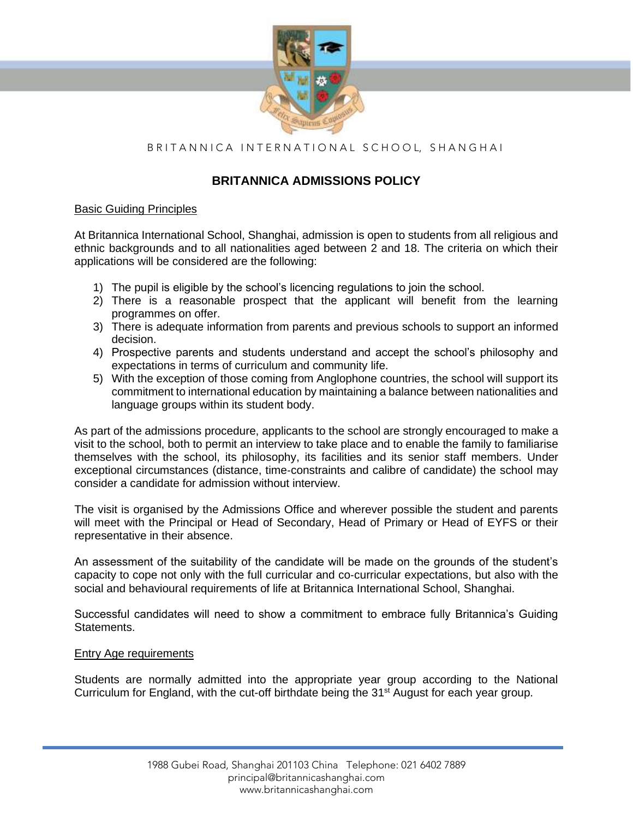

# B R I T A N N I C A I N T E R N A T I O N A L S C H O O L, S H A N G H A I

## **BRITANNICA ADMISSIONS POLICY**

#### Basic Guiding Principles

At Britannica International School, Shanghai, admission is open to students from all religious and ethnic backgrounds and to all nationalities aged between 2 and 18. The criteria on which their applications will be considered are the following:

- 1) The pupil is eligible by the school's licencing regulations to join the school.
- 2) There is a reasonable prospect that the applicant will benefit from the learning programmes on offer.
- 3) There is adequate information from parents and previous schools to support an informed decision.
- 4) Prospective parents and students understand and accept the school's philosophy and expectations in terms of curriculum and community life.
- 5) With the exception of those coming from Anglophone countries, the school will support its commitment to international education by maintaining a balance between nationalities and language groups within its student body.

As part of the admissions procedure, applicants to the school are strongly encouraged to make a visit to the school, both to permit an interview to take place and to enable the family to familiarise themselves with the school, its philosophy, its facilities and its senior staff members. Under exceptional circumstances (distance, time‐constraints and calibre of candidate) the school may consider a candidate for admission without interview.

The visit is organised by the Admissions Office and wherever possible the student and parents will meet with the Principal or Head of Secondary, Head of Primary or Head of EYFS or their representative in their absence.

An assessment of the suitability of the candidate will be made on the grounds of the student's capacity to cope not only with the full curricular and co‐curricular expectations, but also with the social and behavioural requirements of life at Britannica International School, Shanghai.

Successful candidates will need to show a commitment to embrace fully Britannica's Guiding Statements.

#### Entry Age requirements

Students are normally admitted into the appropriate year group according to the National Curriculum for England, with the cut-off birthdate being the 31<sup>st</sup> August for each year group.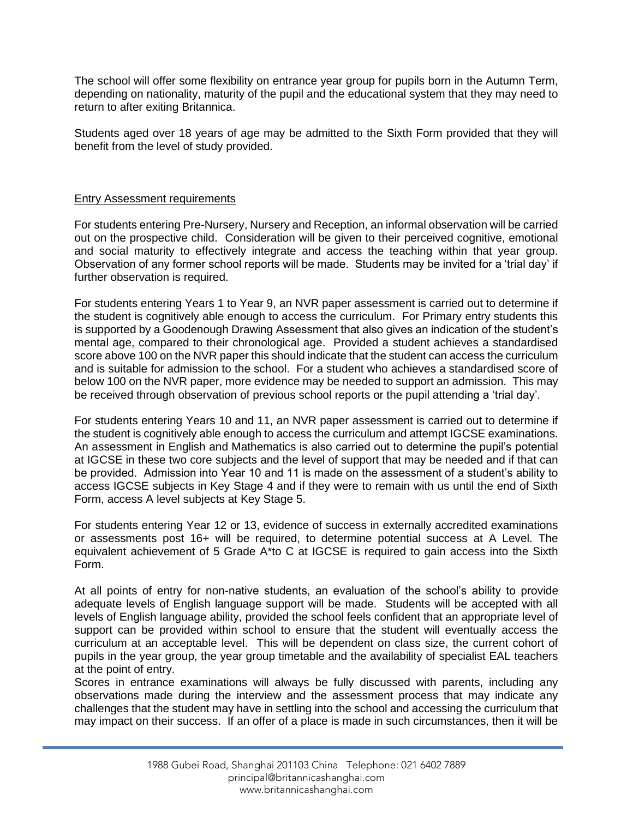The school will offer some flexibility on entrance year group for pupils born in the Autumn Term, depending on nationality, maturity of the pupil and the educational system that they may need to return to after exiting Britannica.

Students aged over 18 years of age may be admitted to the Sixth Form provided that they will benefit from the level of study provided.

#### **Entry Assessment requirements**

For students entering Pre-Nursery, Nursery and Reception, an informal observation will be carried out on the prospective child. Consideration will be given to their perceived cognitive, emotional and social maturity to effectively integrate and access the teaching within that year group. Observation of any former school reports will be made. Students may be invited for a 'trial day' if further observation is required.

For students entering Years 1 to Year 9, an NVR paper assessment is carried out to determine if the student is cognitively able enough to access the curriculum. For Primary entry students this is supported by a Goodenough Drawing Assessment that also gives an indication of the student's mental age, compared to their chronological age. Provided a student achieves a standardised score above 100 on the NVR paper this should indicate that the student can access the curriculum and is suitable for admission to the school. For a student who achieves a standardised score of below 100 on the NVR paper, more evidence may be needed to support an admission. This may be received through observation of previous school reports or the pupil attending a 'trial day'.

For students entering Years 10 and 11, an NVR paper assessment is carried out to determine if the student is cognitively able enough to access the curriculum and attempt IGCSE examinations. An assessment in English and Mathematics is also carried out to determine the pupil's potential at IGCSE in these two core subjects and the level of support that may be needed and if that can be provided. Admission into Year 10 and 11 is made on the assessment of a student's ability to access IGCSE subjects in Key Stage 4 and if they were to remain with us until the end of Sixth Form, access A level subjects at Key Stage 5.

For students entering Year 12 or 13, evidence of success in externally accredited examinations or assessments post 16+ will be required, to determine potential success at A Level. The equivalent achievement of 5 Grade A\*to C at IGCSE is required to gain access into the Sixth Form.

At all points of entry for non-native students, an evaluation of the school's ability to provide adequate levels of English language support will be made. Students will be accepted with all levels of English language ability, provided the school feels confident that an appropriate level of support can be provided within school to ensure that the student will eventually access the curriculum at an acceptable level. This will be dependent on class size, the current cohort of pupils in the year group, the year group timetable and the availability of specialist EAL teachers at the point of entry.

Scores in entrance examinations will always be fully discussed with parents, including any observations made during the interview and the assessment process that may indicate any challenges that the student may have in settling into the school and accessing the curriculum that may impact on their success. If an offer of a place is made in such circumstances, then it will be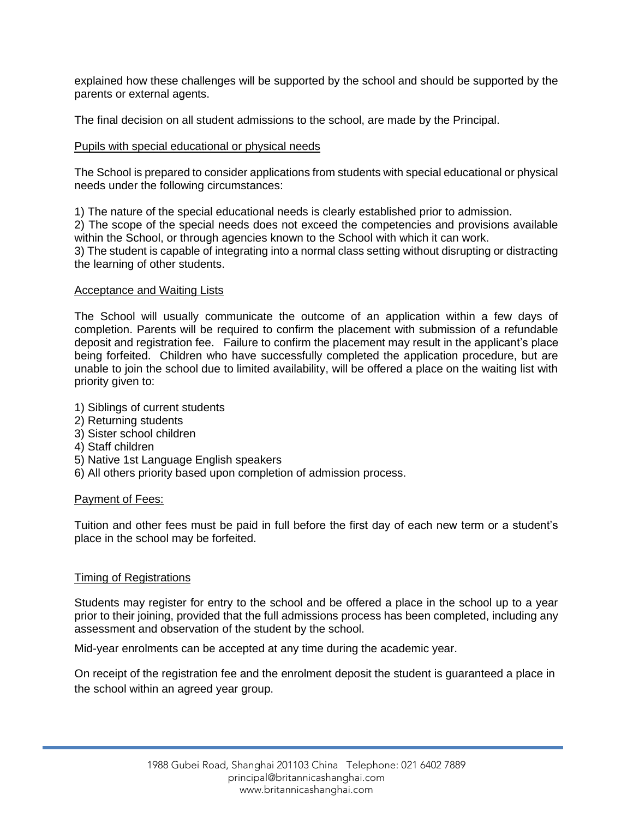explained how these challenges will be supported by the school and should be supported by the parents or external agents.

The final decision on all student admissions to the school, are made by the Principal.

#### Pupils with special educational or physical needs

The School is prepared to consider applications from students with special educational or physical needs under the following circumstances:

1) The nature of the special educational needs is clearly established prior to admission.

2) The scope of the special needs does not exceed the competencies and provisions available within the School, or through agencies known to the School with which it can work.

3) The student is capable of integrating into a normal class setting without disrupting or distracting the learning of other students.

#### Acceptance and Waiting Lists

The School will usually communicate the outcome of an application within a few days of completion. Parents will be required to confirm the placement with submission of a refundable deposit and registration fee. Failure to confirm the placement may result in the applicant's place being forfeited. Children who have successfully completed the application procedure, but are unable to join the school due to limited availability, will be offered a place on the waiting list with priority given to:

- 1) Siblings of current students
- 2) Returning students
- 3) Sister school children
- 4) Staff children
- 5) Native 1st Language English speakers
- 6) All others priority based upon completion of admission process.

#### Payment of Fees:

Tuition and other fees must be paid in full before the first day of each new term or a student's place in the school may be forfeited.

#### Timing of Registrations

Students may register for entry to the school and be offered a place in the school up to a year prior to their joining, provided that the full admissions process has been completed, including any assessment and observation of the student by the school.

Mid-year enrolments can be accepted at any time during the academic year.

On receipt of the registration fee and the enrolment deposit the student is guaranteed a place in the school within an agreed year group.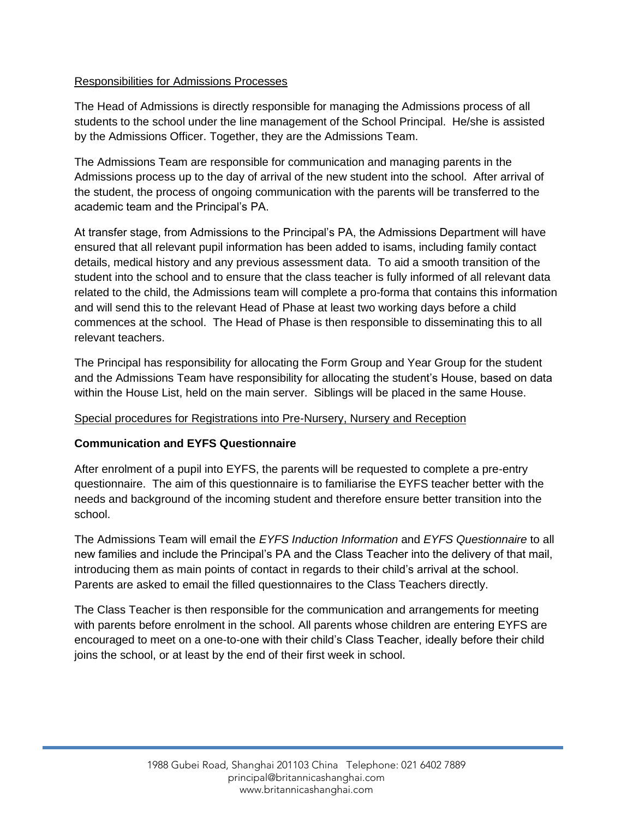## Responsibilities for Admissions Processes

The Head of Admissions is directly responsible for managing the Admissions process of all students to the school under the line management of the School Principal. He/she is assisted by the Admissions Officer. Together, they are the Admissions Team.

The Admissions Team are responsible for communication and managing parents in the Admissions process up to the day of arrival of the new student into the school. After arrival of the student, the process of ongoing communication with the parents will be transferred to the academic team and the Principal's PA.

At transfer stage, from Admissions to the Principal's PA, the Admissions Department will have ensured that all relevant pupil information has been added to isams, including family contact details, medical history and any previous assessment data. To aid a smooth transition of the student into the school and to ensure that the class teacher is fully informed of all relevant data related to the child, the Admissions team will complete a pro-forma that contains this information and will send this to the relevant Head of Phase at least two working days before a child commences at the school. The Head of Phase is then responsible to disseminating this to all relevant teachers.

The Principal has responsibility for allocating the Form Group and Year Group for the student and the Admissions Team have responsibility for allocating the student's House, based on data within the House List, held on the main server. Siblings will be placed in the same House.

#### Special procedures for Registrations into Pre-Nursery, Nursery and Reception

## **Communication and EYFS Questionnaire**

After enrolment of a pupil into EYFS, the parents will be requested to complete a pre-entry questionnaire. The aim of this questionnaire is to familiarise the EYFS teacher better with the needs and background of the incoming student and therefore ensure better transition into the school.

The Admissions Team will email the *EYFS Induction Information* and *EYFS Questionnaire* to all new families and include the Principal's PA and the Class Teacher into the delivery of that mail, introducing them as main points of contact in regards to their child's arrival at the school. Parents are asked to email the filled questionnaires to the Class Teachers directly.

The Class Teacher is then responsible for the communication and arrangements for meeting with parents before enrolment in the school. All parents whose children are entering EYFS are encouraged to meet on a one-to-one with their child's Class Teacher, ideally before their child joins the school, or at least by the end of their first week in school.